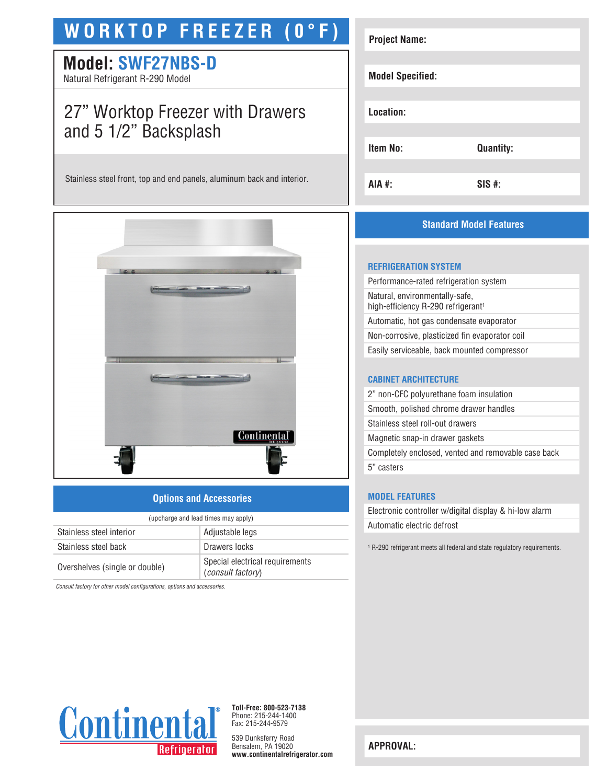# **WORKTOP FREEZER (0°F)**

# **Model: SWF27NBS-D**

Natural Refrigerant R-290 Model

# 27" Worktop Freezer with Drawers and 5 1/2" Backsplash

Stainless steel front, top and end panels, aluminum back and interior.



### **Options and Accessories**

| (upcharge and lead times may apply) |                                                      |  |
|-------------------------------------|------------------------------------------------------|--|
| Stainless steel interior            | Adjustable legs                                      |  |
| Stainless steel back                | Drawers locks                                        |  |
| Overshelves (single or double)      | Special electrical requirements<br>(consult factory) |  |

*Consult factory for other model configurations, options and accessories.*

| <b>Quantity:</b> |
|------------------|
|                  |
|                  |

## **Standard Model Features**

#### **REFRIGERATION SYSTEM**

Performance-rated refrigeration system Natural, environmentally-safe, high-efficiency R-290 refrigerant<sup>1</sup> Automatic, hot gas condensate evaporator Non-corrosive, plasticized fin evaporator coil Easily serviceable, back mounted compressor

#### **CABINET ARCHITECTURE**

2" non-CFC polyurethane foam insulation Smooth, polished chrome drawer handles Stainless steel roll-out drawers Magnetic snap-in drawer gaskets Completely enclosed, vented and removable case back 5" casters

#### **MODEL FEATURES**

Electronic controller w/digital display & hi-low alarm Automatic electric defrost

<sup>1</sup> R-290 refrigerant meets all federal and state regulatory requirements.



**Toll-Free: 800-523-7138** Phone: 215-244-1400 Fax: 215-244-9579

539 Dunksferry Road Bensalem, PA 19020 **www.continentalrefrigerator.com** 

**APPROVAL:**